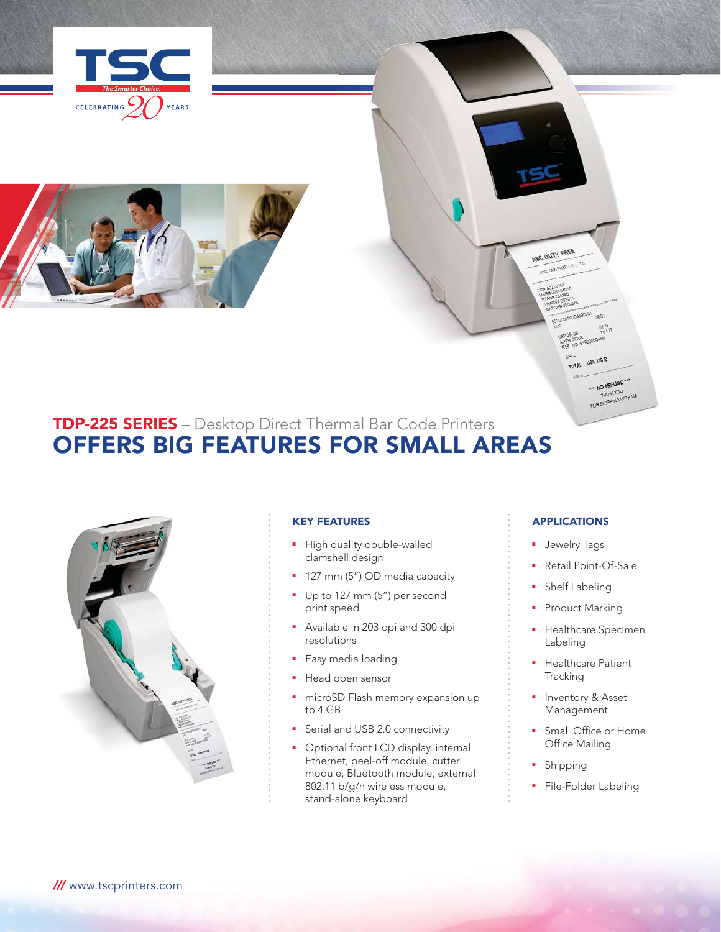



# **TDP-225 SERIES** – Desktop Direct Thermal Bar Code Printers OFFERS BIG FEATURES FOR SMALL AREAS



## KEY FEATURES

- High quality double-walled clamshell design
- 127 mm (5") OD media capacity
- Up to 127 mm (5") per second print speed
- Available in 203 dpi and 300 dpi resolutions
- **Easy media loading**
- Head open sensor
- **n** microSD Flash memory expansion up to 4 GB
- Serial and USB 2.0 connectivity
- Optional front LCD display, internal Ethernet, peel-off module, cutter module, Bluetooth module, external 802.11 b/g/n wireless module, stand-alone keyboard

# APPLICATIONS

**KALE TOTAL USS 100.00** 

> -- NO REFUND FOR SHOPPING WITH US

ABC DUTY FREE ABC TAX FREE CO., LTD

- **Jewelry Tags**
- Retail Point-Of-Sale
- **Shelf Labeling**
- Product Marking
- Healthcare Specimen Labeling
- **•** Healthcare Patient **Tracking**
- **Inventory & Asset** Management
- **Small Office or Home** Office Mailing
- Shipping
- File-Folder Labeling